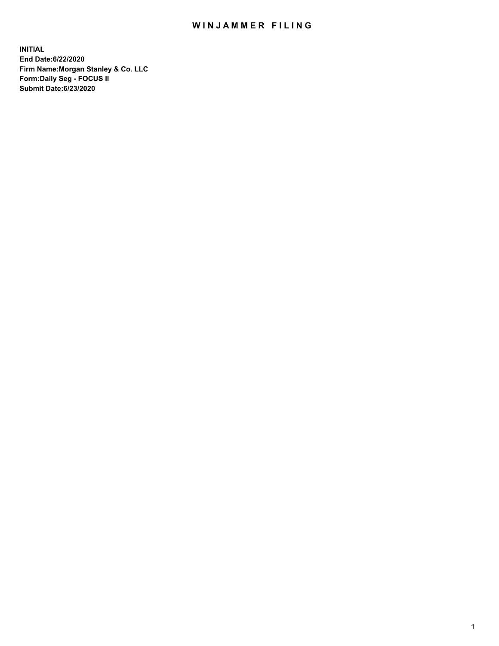## WIN JAMMER FILING

**INITIAL End Date:6/22/2020 Firm Name:Morgan Stanley & Co. LLC Form:Daily Seg - FOCUS II Submit Date:6/23/2020**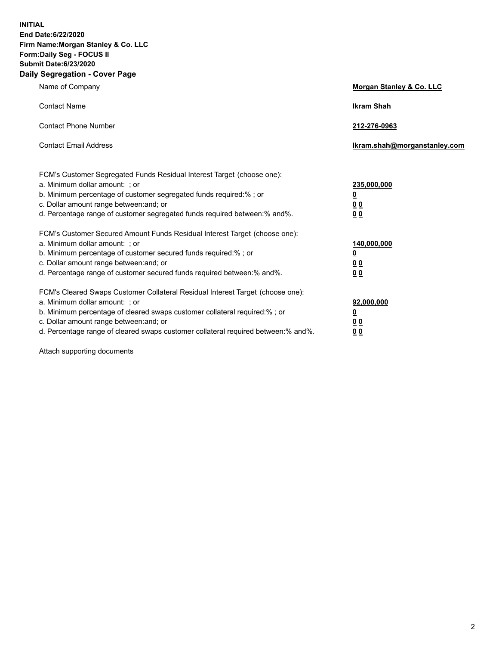**INITIAL End Date:6/22/2020 Firm Name:Morgan Stanley & Co. LLC Form:Daily Seg - FOCUS II Submit Date:6/23/2020 Daily Segregation - Cover Page**

| Name of Company                                                                                                                                                                                                                                                                                                                | Morgan Stanley & Co. LLC                                |
|--------------------------------------------------------------------------------------------------------------------------------------------------------------------------------------------------------------------------------------------------------------------------------------------------------------------------------|---------------------------------------------------------|
| <b>Contact Name</b>                                                                                                                                                                                                                                                                                                            | <b>Ikram Shah</b>                                       |
| <b>Contact Phone Number</b>                                                                                                                                                                                                                                                                                                    | 212-276-0963                                            |
| <b>Contact Email Address</b>                                                                                                                                                                                                                                                                                                   | Ikram.shah@morganstanley.com                            |
| FCM's Customer Segregated Funds Residual Interest Target (choose one):<br>a. Minimum dollar amount: ; or<br>b. Minimum percentage of customer segregated funds required:% ; or<br>c. Dollar amount range between: and; or<br>d. Percentage range of customer segregated funds required between:% and%.                         | 235,000,000<br><u>0</u><br><u>00</u><br><u>00</u>       |
| FCM's Customer Secured Amount Funds Residual Interest Target (choose one):<br>a. Minimum dollar amount: ; or<br>b. Minimum percentage of customer secured funds required:%; or<br>c. Dollar amount range between: and; or<br>d. Percentage range of customer secured funds required between:% and%.                            | 140,000,000<br><u>0</u><br><u>0 0</u><br>0 <sub>0</sub> |
| FCM's Cleared Swaps Customer Collateral Residual Interest Target (choose one):<br>a. Minimum dollar amount: ; or<br>b. Minimum percentage of cleared swaps customer collateral required:% ; or<br>c. Dollar amount range between: and; or<br>d. Percentage range of cleared swaps customer collateral required between:% and%. | 92,000,000<br><u>0</u><br><u>00</u><br>00               |

Attach supporting documents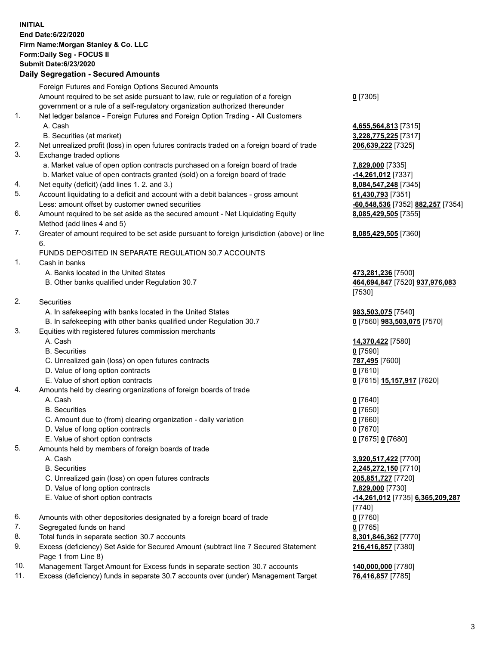## **INITIAL End Date:6/22/2020 Firm Name:Morgan Stanley & Co. LLC Form:Daily Seg - FOCUS II Submit Date:6/23/2020**

## **Daily Segregation - Secured Amounts**

|    | Foreign Futures and Foreign Options Secured Amounts                                         |                                   |
|----|---------------------------------------------------------------------------------------------|-----------------------------------|
|    | Amount required to be set aside pursuant to law, rule or regulation of a foreign            | $0$ [7305]                        |
|    | government or a rule of a self-regulatory organization authorized thereunder                |                                   |
| 1. | Net ledger balance - Foreign Futures and Foreign Option Trading - All Customers             |                                   |
|    | A. Cash                                                                                     | 4,655,564,813 [7315]              |
|    | B. Securities (at market)                                                                   | 3,228,775,225 [7317]              |
| 2. | Net unrealized profit (loss) in open futures contracts traded on a foreign board of trade   | 206,639,222 [7325]                |
| 3. | Exchange traded options                                                                     |                                   |
|    | a. Market value of open option contracts purchased on a foreign board of trade              | 7,829,000 [7335]                  |
|    | b. Market value of open contracts granted (sold) on a foreign board of trade                | -14,261,012 [7337]                |
| 4. | Net equity (deficit) (add lines 1.2. and 3.)                                                | 8,084,547,248 [7345]              |
| 5. | Account liquidating to a deficit and account with a debit balances - gross amount           | 61,430,793 [7351]                 |
|    | Less: amount offset by customer owned securities                                            | -60,548,536 [7352] 882,257 [7354] |
| 6. | Amount required to be set aside as the secured amount - Net Liquidating Equity              | 8,085,429,505 [7355]              |
|    | Method (add lines 4 and 5)                                                                  |                                   |
| 7. | Greater of amount required to be set aside pursuant to foreign jurisdiction (above) or line | 8,085,429,505 [7360]              |
|    | 6.                                                                                          |                                   |
|    | FUNDS DEPOSITED IN SEPARATE REGULATION 30.7 ACCOUNTS                                        |                                   |
| 1. | Cash in banks                                                                               |                                   |
|    | A. Banks located in the United States                                                       | 473,281,236 [7500]                |
|    | B. Other banks qualified under Regulation 30.7                                              | 464,694,847 [7520] 937,976,083    |
|    |                                                                                             | [7530]                            |
| 2. | <b>Securities</b>                                                                           |                                   |
|    | A. In safekeeping with banks located in the United States                                   | 983,503,075 [7540]                |
|    | B. In safekeeping with other banks qualified under Regulation 30.7                          | 0 [7560] 983,503,075 [7570]       |
| 3. | Equities with registered futures commission merchants                                       |                                   |
|    | A. Cash                                                                                     | 14,370,422 [7580]                 |
|    | <b>B.</b> Securities                                                                        | $0$ [7590]                        |
|    | C. Unrealized gain (loss) on open futures contracts                                         | 787,495 [7600]                    |
|    | D. Value of long option contracts                                                           | $Q$ [7610]                        |
|    | E. Value of short option contracts                                                          | 0 [7615] 15,157,917 [7620]        |
| 4. | Amounts held by clearing organizations of foreign boards of trade                           |                                   |
|    | A. Cash                                                                                     | $0$ [7640]                        |
|    | <b>B.</b> Securities                                                                        | $Q$ [7650]                        |
|    | C. Amount due to (from) clearing organization - daily variation                             | $0$ [7660]                        |
|    | D. Value of long option contracts                                                           | $0$ [7670]                        |
|    | E. Value of short option contracts                                                          | 0 [7675] 0 [7680]                 |
| 5. | Amounts held by members of foreign boards of trade                                          |                                   |
|    | A. Cash                                                                                     | 3,920,517,422 [7700]              |
|    | <b>B.</b> Securities                                                                        | 2,245,272,150 [7710]              |
|    | C. Unrealized gain (loss) on open futures contracts                                         | 205,851,727 [7720]                |
|    | D. Value of long option contracts                                                           | 7,829,000 [7730]                  |
|    | E. Value of short option contracts                                                          | -14,261,012 [7735] 6,365,209,287  |
|    |                                                                                             | [7740]                            |
| 6. | Amounts with other depositories designated by a foreign board of trade                      | $0$ [7760]                        |
| 7. | Segregated funds on hand                                                                    | $0$ [7765]                        |
| 8. | Total funds in separate section 30.7 accounts                                               | 8,301,846,362 [7770]              |
| 9. | Excess (deficiency) Set Aside for Secured Amount (subtract line 7 Secured Statement         | 216,416,857 [7380]                |
|    | Page 1 from Line 8)                                                                         |                                   |
| 10 | Amount for Evenes funds in concrete continue 20.7 -                                         | 110.000.000177001                 |

- 10. Management Target Amount for Excess funds in separate section 30.7 accounts **140,000,000** [7780]
- 11. Excess (deficiency) funds in separate 30.7 accounts over (under) Management Target **76,416,857** [7785]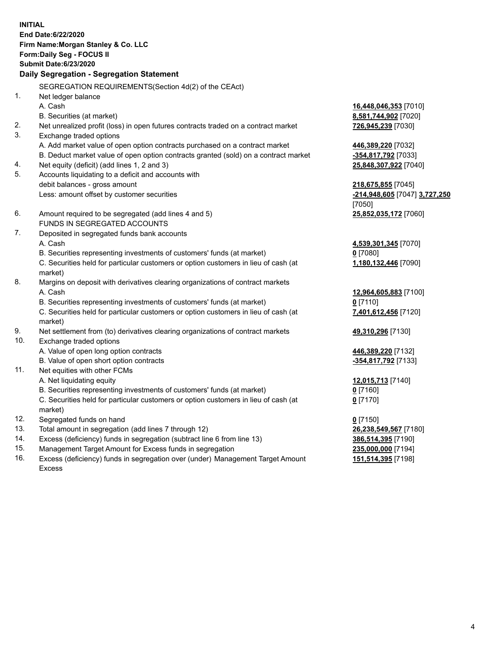**INITIAL End Date:6/22/2020 Firm Name:Morgan Stanley & Co. LLC Form:Daily Seg - FOCUS II Submit Date:6/23/2020 Daily Segregation - Segregation Statement** SEGREGATION REQUIREMENTS(Section 4d(2) of the CEAct) 1. Net ledger balance A. Cash **16,448,046,353** [7010] B. Securities (at market) **8,581,744,902** [7020] 2. Net unrealized profit (loss) in open futures contracts traded on a contract market **726,945,239** [7030] 3. Exchange traded options A. Add market value of open option contracts purchased on a contract market **446,389,220** [7032] B. Deduct market value of open option contracts granted (sold) on a contract market **-354,817,792** [7033] 4. Net equity (deficit) (add lines 1, 2 and 3) **25,848,307,922** [7040] 5. Accounts liquidating to a deficit and accounts with debit balances - gross amount **218,675,855** [7045] Less: amount offset by customer securities **-214,948,605** [7047] **3,727,250** [7050] 6. Amount required to be segregated (add lines 4 and 5) **25,852,035,172** [7060] FUNDS IN SEGREGATED ACCOUNTS 7. Deposited in segregated funds bank accounts A. Cash **4,539,301,345** [7070] B. Securities representing investments of customers' funds (at market) **0** [7080] C. Securities held for particular customers or option customers in lieu of cash (at market) **1,180,132,446** [7090] 8. Margins on deposit with derivatives clearing organizations of contract markets A. Cash **12,964,605,883** [7100] B. Securities representing investments of customers' funds (at market) **0** [7110] C. Securities held for particular customers or option customers in lieu of cash (at market) **7,401,612,456** [7120] 9. Net settlement from (to) derivatives clearing organizations of contract markets **49,310,296** [7130] 10. Exchange traded options A. Value of open long option contracts **446,389,220** [7132] B. Value of open short option contracts **-354,817,792** [7133] 11. Net equities with other FCMs A. Net liquidating equity **12,015,713** [7140] B. Securities representing investments of customers' funds (at market) **0** [7160] C. Securities held for particular customers or option customers in lieu of cash (at market) **0** [7170] 12. Segregated funds on hand **0** [7150] 13. Total amount in segregation (add lines 7 through 12) **26,238,549,567** [7180] 14. Excess (deficiency) funds in segregation (subtract line 6 from line 13) **386,514,395** [7190] 15. Management Target Amount for Excess funds in segregation **235,000,000** [7194]

16. Excess (deficiency) funds in segregation over (under) Management Target Amount Excess

**151,514,395** [7198]